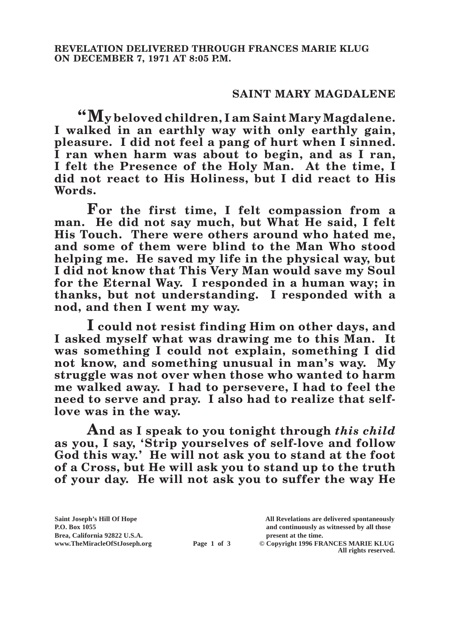## **SAINT MARY MAGDALENE**

**"My beloved children, I am Saint Mary Magdalene. I walked in an earthly way with only earthly gain, pleasure. I did not feel a pang of hurt when I sinned. I ran when harm was about to begin, and as I ran, I felt the Presence of the Holy Man. At the time, I did not react to His Holiness, but I did react to His Words.**

**For the first time, I felt compassion from a man. He did not say much, but What He said, I felt His Touch. There were others around who hated me, and some of them were blind to the Man Who stood helping me. He saved my life in the physical way, but I did not know that This Very Man would save my Soul for the Eternal Way. I responded in a human way; in thanks, but not understanding. I responded with a nod, and then I went my way.**

**I could not resist finding Him on other days, and I asked myself what was drawing me to this Man. It was something I could not explain, something I did not know, and something unusual in man's way. My struggle was not over when those who wanted to harm me walked away. I had to persevere, I had to feel the need to serve and pray. I also had to realize that selflove was in the way.**

**And as I speak to you tonight through** *this child* **as you, I say, 'Strip yourselves of self-love and follow God this way.' He will not ask you to stand at the foot of a Cross, but He will ask you to stand up to the truth of your day. He will not ask you to suffer the way He** 

**All rights reserved.**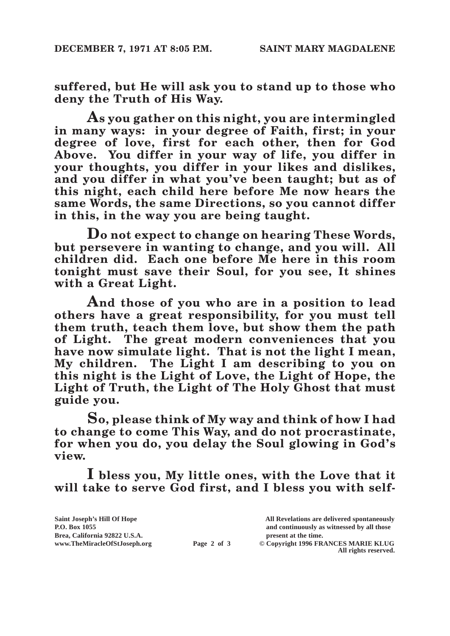**suffered, but He will ask you to stand up to those who deny the Truth of His Way.**

**As you gather on this night, you are intermingled in many ways: in your degree of Faith, first; in your degree of love, first for each other, then for God Above. You differ in your way of life, you differ in your thoughts, you differ in your likes and dislikes, and you differ in what you've been taught; but as of this night, each child here before Me now hears the same Words, the same Directions, so you cannot differ in this, in the way you are being taught.**

**Do not expect to change on hearing These Words, but persevere in wanting to change, and you will. All children did. Each one before Me here in this room tonight must save their Soul, for you see, It shines with a Great Light.**

**And those of you who are in a position to lead others have a great responsibility, for you must tell them truth, teach them love, but show them the path of Light. The great modern conveniences that you have now simulate light. That is not the light I mean, My children. The Light I am describing to you on this night is the Light of Love, the Light of Hope, the Light of Truth, the Light of The Holy Ghost that must guide you.**

**So, please think of My way and think of how I had to change to come This Way, and do not procrastinate, for when you do, you delay the Soul glowing in God's view.**

**I bless you, My little ones, with the Love that it will take to serve God first, and I bless you with self-**

**Saint Joseph's Hill Of Hope All Revelations are delivered spontaneously P.O. Box 1055 and continuously as witnessed by all those**  Brea, California 92822 U.S.A.<br>
www.TheMiracleOfStJoseph.org<br> **Page 2 of 3** © Copyright 1996 FR.  $\odot$  Copyright 1996 FRANCES MARIE KLUG **All rights reserved.**